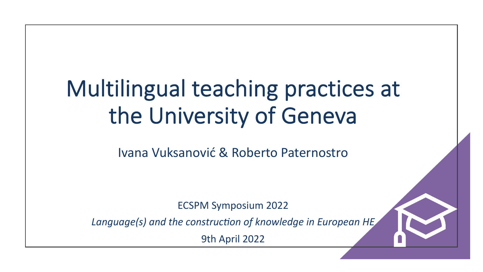# Multilingual teaching practices at the University of Geneva

Ivana Vuksanović & Roberto Paternostro

ECSPM Symposium 2022

Language(s) and the construction of knowledge in European HE

9th April 2022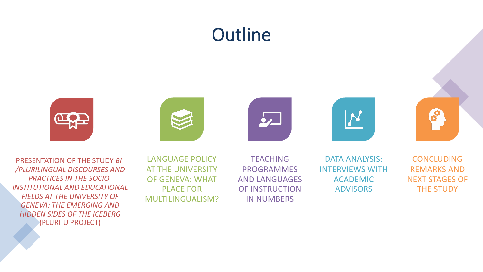# **Outline**















 $\boldsymbol{\delta}$ 

PRESENTATION OF THE STUDY *BI- /PLURILINGUAL DISCOURSES AND PRACTICES IN THE SOCIO-INSTITUTIONAL AND EDUCATIONAL FIELDS AT THE UNIVERSITY OF GENEVA: THE EMERGING AND HIDDEN SIDES OF THE ICEBERG*  (PLURI-U PROJECT)

LANGUAGE POLICY AT THE UNIVERSITY OF GENEVA: WHAT PLACE FOR MULTILINGUALISM?

**TEACHING** PROGRAMMES AND LANGUAGES OF INSTRUCTION IN NUMBERS

DATA ANALYSIS: INTERVIEWS WITH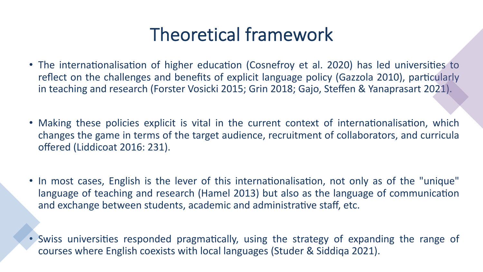# Theoretical framework

- The internationalisation of higher education (Cosnefroy et al. 2020) has led universities to reflect on the challenges and benefits of explicit language policy (Gazzola 2010), particularly in teaching and research (Forster Vosicki 2015; Grin 2018; Gajo, Steffen & Yanaprasart 2021).
- Making these policies explicit is vital in the current context of internationalisation, which changes the game in terms of the target audience, recruitment of collaborators, and curricula offered (Liddicoat 2016: 231).
- In most cases, English is the lever of this internationalisation, not only as of the "unique" language of teaching and research (Hamel 2013) but also as the language of communication and exchange between students, academic and administrative staff, etc.
- Swiss universities responded pragmatically, using the strategy of expanding the range of courses where English coexists with local languages (Studer & Siddiqa 2021).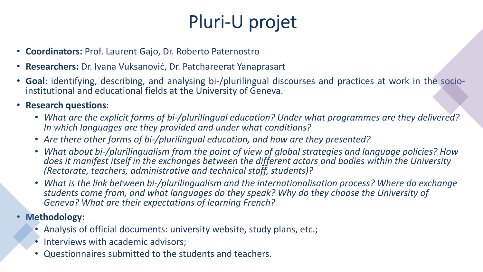# Pluri-U projet

- **Coordinators:** Prof. Laurent Gajo, Dr. Roberto Paternostro
- **Researchers:** Dr. Ivana Vuksanović, Dr. Patchareerat Yanaprasart
- **Goal**: identifying, describing, and analysing bi-/plurilingual discourses and practices at work in the socio- institutional and educational fields at the University of Geneva.
- **Research questions**:
	- *What are the explicit forms of bi-/plurilingual education? Under what programmes are they delivered? In which languages are they provided and under what conditions?*
	- *Are there other forms of bi-/plurilingual education, and how are they presented?*
	- *What about bi-/plurilingualism from the point of view of global strategies and language policies? How does it manifest itself in the exchanges between the different actors and bodies within the University (Rectorate, teachers, administrative and technical staff, students)?*
	- *What is the link between bi-/plurilingualism and the internationalisation process? Where do exchange students come from, and what languages do they speak? Why do they choose the University of Geneva? What are their expectations of learning French?*
- **Methodology:** 
	- Analysis of official documents: university website, study plans, etc.;
	- Interviews with academic advisors;
	- Questionnaires submitted to the students and teachers.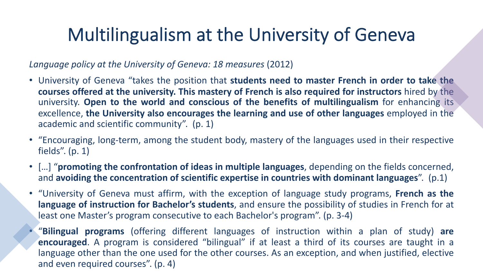# Multilingualism at the University of Geneva

*Language policy at the University of Geneva: 18 measures* (2012)

- University of Geneva "takes the position that **students need to master French in order to take the courses offered at the university. This mastery of French is also required for instructors** hired by the university. **Open to the world and conscious of the benefits of multilingualism** for enhancing its excellence, **the University also encourages the learning and use of other languages** employed in the academic and scientific community". (p. 1)
- "Encouraging, long-term, among the student body, mastery of the languages used in their respective fields". (p. 1)
- […] "**promoting the confrontation of ideas in multiple languages**, depending on the fields concerned, and **avoiding the concentration of scientific expertise in countries with dominant languages**". (p.1)
- "University of Geneva must affirm, with the exception of language study programs, **French as the language of instruction for Bachelor's students**, and ensure the possibility of studies in French for at least one Master's program consecutive to each Bachelor's program". (p. 3-4)
	- "**Bilingual programs** (offering different languages of instruction within a plan of study) **are encouraged**. A program is considered "bilingual" if at least a third of its courses are taught in a language other than the one used for the other courses. As an exception, and when justified, elective and even required courses". (p. 4)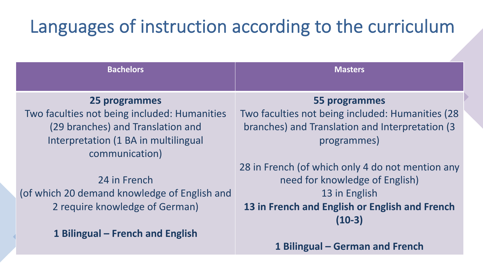# Languages of instruction according to the curriculum

| <b>Bachelors</b>                                                                                                                                             | <b>Masters</b>                                                                                                                                                    |
|--------------------------------------------------------------------------------------------------------------------------------------------------------------|-------------------------------------------------------------------------------------------------------------------------------------------------------------------|
| 25 programmes<br>Two faculties not being included: Humanities<br>(29 branches) and Translation and<br>Interpretation (1 BA in multilingual<br>communication) | 55 programmes<br>Two faculties not being included: Humanities (28)<br>branches) and Translation and Interpretation (3<br>programmes)                              |
| 24 in French<br>(of which 20 demand knowledge of English and<br>2 require knowledge of German)                                                               | 28 in French (of which only 4 do not mention any<br>need for knowledge of English)<br>13 in English<br>13 in French and English or English and French<br>$(10-3)$ |
| 1 Bilingual – French and English                                                                                                                             |                                                                                                                                                                   |

**1 Bilingual – German and French**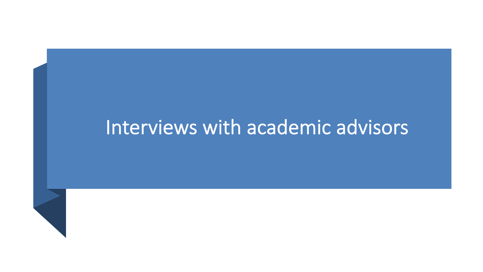# Interviews with academic advisors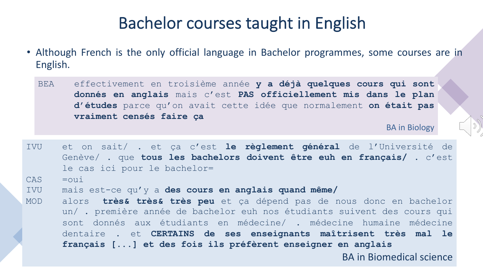#### Bachelor courses taught in English

- Although French is the only official language in Bachelor programmes, some courses are in English.
	- BEA effectivement en troisième année **y a déjà quelques cours qui sont donnés en anglais** mais c'est **PAS officiellement mis dans le plan d'études** parce qu'on avait cette idée que normalement **on était pas vraiment censés faire ça**

BA in Biology

IVU et on sait/ . et ça c'est **le règlement général** de l'Université de Genève/ . que **tous les bachelors doivent être euh en français/** . c'est le cas ici pour le bachelor=  $CAS$   $=$  $\overline{O}$ IVU mais est-ce qu'y a **des cours en anglais quand même/** MOD alors **très& très& très peu** et ça dépend pas de nous donc en bachelor un/ . première année de bachelor euh nos étudiants suivent des cours qui sont donnés aux étudiants en médecine/ . médecine humaine médecine dentaire . et **CERTAINS de ses enseignants maîtrisent très mal le français [...] et des fois ils préfèrent enseigner en anglais** BA in Biomedical science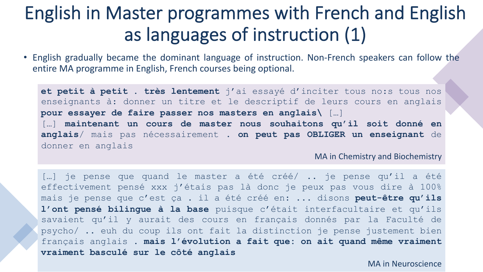## English in Master programmes with French and English as languages of instruction (1)

• English gradually became the dominant language of instruction. Non-French speakers can follow the entire MA programme in English, French courses being optional.

**et petit à petit . très lentement** j'ai essayé d'inciter tous no:s tous nos enseignants à: donner un titre et le descriptif de leurs cours en anglais **pour essayer de faire passer nos masters en anglais\** […] […] **maintenant un cours de master nous souhaitons qu'il soit donné en anglais**/ mais pas nécessairement . **on peut pas OBLIGER un enseignant** de donner en anglais

MA in Chemistry and Biochemistry

[…] je pense que quand le master a été créé/ .. je pense qu'il a été effectivement pensé xxx j'étais pas là donc je peux pas vous dire à 100% mais je pense que c'est ça . il a été créé en: ... disons **peut-être qu'ils l'ont pensé bilingue à la base** puisque c'était interfacultaire et qu'ils savaient qu'il y aurait des cours en français donnés par la Faculté de psycho/ .. euh du coup ils ont fait la distinction je pense justement bien français anglais . **mais l'évolution a fait que: on ait quand même vraiment vraiment basculé sur le côté anglais**

MA in Neuroscience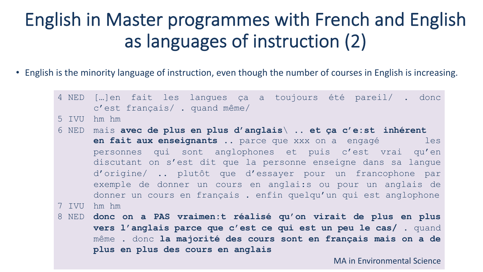# English in Master programmes with French and English as languages of instruction (2)

- English is the minority language of instruction, even though the number of courses in English is increasing.
	- 4 NED […]en fait les langues ça a toujours été pareil/ . donc c'est français/ . quand même/ 5 IVU hm hm 6 NED mais **avec de plus en plus d'anglais**\ .. **et ça c'e:st inhérent en fait aux enseignants** .. parce que xxx on a engagé les personnes qui sont anglophones et puis c'est vrai qu'en discutant on s'est dit que la personne enseigne dans sa langue d'origine/ .. plutôt que d'essayer pour un francophone par exemple de donner un cours en anglai:s ou pour un anglais de donner un cours en français . enfin quelqu'un qui est anglophone 7 IVU hm hm 8 NED **donc on a PAS vraimen:t réalisé qu'on virait de plus en plus vers l'anglais parce que c'est ce qui est un peu le cas/** . quand même . donc **la majorité des cours sont en français mais on a de plus en plus des cours en anglais** MA in Environmental Science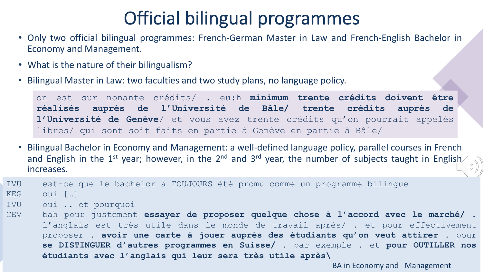# Official bilingual programmes

- Only two official bilingual programmes: French-German Master in Law and French-English Bachelor in Economy and Management.
- What is the nature of their bilingualism?
- Bilingual Master in Law: two faculties and two study plans, no language policy.

on est sur nonante crédits/ . eu:h **minimum trente crédits doivent être réalisés auprès de l'Université de Bâle/ trente crédits auprès de l'Université de Genève**/ et vous avez trente crédits qu'on pourrait appelés libres/ qui sont soit faits en partie à Genève en partie à Bâle/

• Bilingual Bachelor in Economy and Management: a well-defined language policy, parallel courses in French and English in the 1<sup>st</sup> year; however, in the 2<sup>nd</sup> and 3<sup>rd</sup> year, the number of subjects taught in English increases.

IVU est-ce que le bachelor a TOUJOURS été promu comme un programme bilingue KEG oui […]

- IVU oui .. et pourquoi
- CEV bah pour justement **essayer de proposer quelque chose à l'accord avec le marché/** . l'anglais est très utile dans le monde de travail après/ . et pour effectivement proposer . **avoir une carte à jouer auprès des étudiants qu'on veut attirer** . pour **se DISTINGUER d'autres programmes en Suisse/** . par exemple . et **pour OUTILLER nos étudiants avec l'anglais qui leur sera très utile après\**

BA in Economy and Management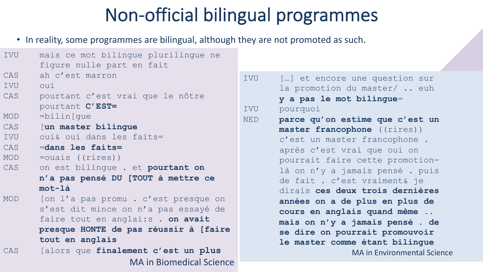# Non-official bilingual programmes

• In reality, some programmes are bilingual, although they are not promoted as such.

| <b>IVU</b> | mais ce mot bilingue plurilingue ne   |            |                                    |
|------------|---------------------------------------|------------|------------------------------------|
|            | figure nulle part en fait             |            |                                    |
| CAS        | ah c'est marron                       | IVU        | [] et encore une question sur      |
| IVU        | oui                                   |            | la promotion du master/  euh       |
| CAS        | pourtant c'est vrai que le nôtre      |            | y a pas le mot bilingue=           |
|            | pourtant C'EST=                       | IVU        | pourquoi                           |
| <b>MOD</b> | $=$ bilin $[que]$                     | <b>NED</b> | parce qu'on estime que c'est un    |
| CAS        | [un master bilingue                   |            | master francophone ((rires))       |
| IVU        | oui& oui dans les faits=              |            | c'est un master francophone.       |
| CAS        | =dans les faits=                      |            | après c'est vrai que oui on        |
| MOD        | $=$ ouais ((rires))                   |            | pourrait faire cette promotion-    |
| <b>CAS</b> | on est bilingue . et pourtant on      |            | là on n'y a jamais pensé. puis     |
|            | n'a pas pensé DU [TOUT à mettre ce    |            | de fait . c'est vraiment& je       |
|            | mot-là                                |            | dirais ces deux trois dernières    |
| <b>MOD</b> | [on l'a pas promu. c'est presque on   |            | années on a de plus en plus de     |
|            | s'est dit mince on n'a pas essayé de  |            | cours en anglais quand même        |
|            | faire tout en anglai:s . on avait     |            | mais on n'y a jamais pensé. de     |
|            | presque HONTE de pas réussir à [faire |            | se dire on pourrait promouvoir     |
|            | tout en anglais                       |            | le master comme étant bilingue     |
| CAS        | [alors que finalement c'est un plus   |            | <b>MA in Environmental Science</b> |
|            | <b>MA in Biomedical Science</b>       |            |                                    |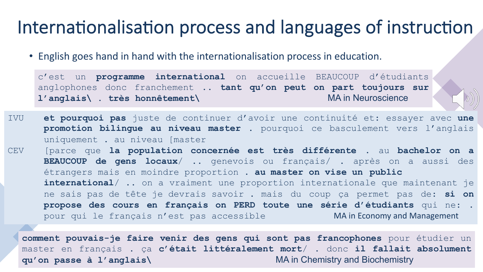#### Internationalisation process and languages of instruction

• English goes hand in hand with the internationalisation process in education.

c'est un **programme international** on accueille BEAUCOUP d'étudiants anglophones donc franchement .. **tant qu'on peut on part toujours sur l'anglais\ . très honnêtement\** MA in Neuroscience

 $(5)$ 

IVU **et pourquoi pas** juste de continuer d'avoir une continuité et: essayer avec **une promotion bilingue au niveau master** . pourquoi ce basculement vers l'anglais uniquement . au niveau [master CEV [parce que **la population concernée est très différente** . au **bachelor on a BEAUCOUP de gens locaux**/ .. genevois ou français/ . après on a aussi des étrangers mais en moindre proportion . **au master on vise un public international**/ .. on a vraiment une proportion internationale que maintenant je ne sais pas de tête je devrais savoir . mais du coup ça permet pas de: **si on propose des cours en français on PERD toute une série d'étudiants** qui ne: . pour qui le français n'est pas accessible **MA in Economy and Management** 

**comment pouvais-je faire venir des gens qui sont pas francophones** pour étudier un master en français . ça **c'était littéralement mort**/ . donc **il fallait absolument qu'on passe à l'anglais\** MA in Chemistry and Biochemistry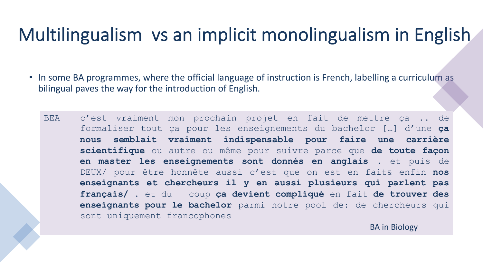# Multilingualism vs an implicit monolingualism in English

- In some BA programmes, where the official language of instruction is French, labelling a curriculum as bilingual paves the way for the introduction of English.
	- BEA c'est vraiment mon prochain projet en fait de mettre ça .. de formaliser tout ça pour les enseignements du bachelor […] d'une **ça nous semblait vraiment indispensable pour faire une carrière scientifique** ou autre ou même pour suivre parce que **de toute façon en master les enseignements sont donnés en anglais** . et puis de DEUX/ pour être honnête aussi c'est que on est en fait& enfin **nos enseignants et chercheurs il y en aussi plusieurs qui parlent pas français/** . et du coup **ça devient compliqué** en fait **de trouver des enseignants pour le bachelor** parmi notre pool de: de chercheurs qui sont uniquement francophones

BA in Biology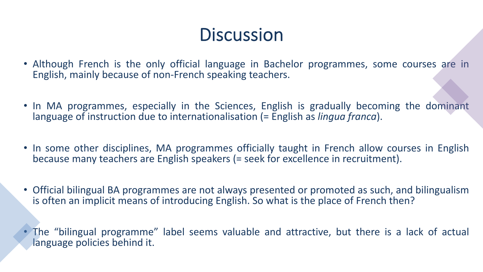#### **Discussion**

- Although French is the only official language in Bachelor programmes, some courses are in English, mainly because of non-French speaking teachers.
- In MA programmes, especially in the Sciences, English is gradually becoming the dominant language of instruction due to internationalisation (= English as *lingua franca*).
- In some other disciplines, MA programmes officially taught in French allow courses in English because many teachers are English speakers (= seek for excellence in recruitment).
- Official bilingual BA programmes are not always presented or promoted as such, and bilingualism is often an implicit means of introducing English. So what is the place of French then?
- The "bilingual programme" label seems valuable and attractive, but there is a lack of actual language policies behind it.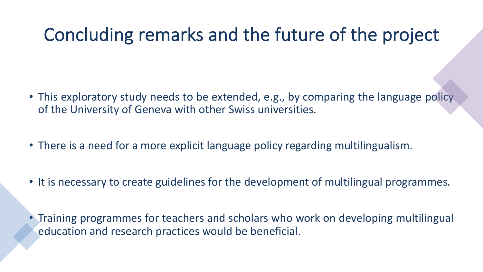# Concluding remarks and the future of the project

- This exploratory study needs to be extended, e.g., by comparing the language policy of the University of Geneva with other Swiss universities.
- There is a need for a more explicit language policy regarding multilingualism.
- It is necessary to create guidelines for the development of multilingual programmes.
- Training programmes for teachers and scholars who work on developing multilingual education and research practices would be beneficial.